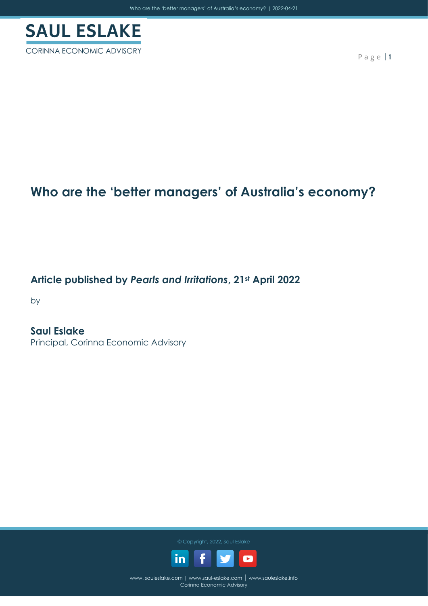

CORINNA ECONOMIC ADVISORY

P a g e | **1**

### **Who are the 'better managers' of Australia's economy?**

**Article published by** *Pearls and Irritations***, 21st April 2022**

by

**Saul Eslake** Principal, Corinna Economic Advisory

© Copyright, 2022, Saul Eslake

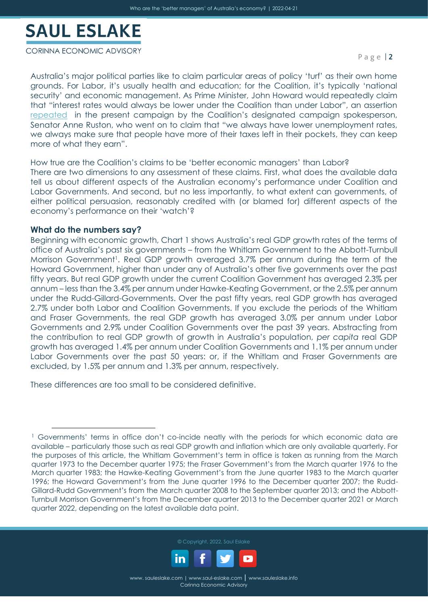CORINNA ECONOMIC ADVISORY

Australia's major political parties like to claim particular areas of policy 'turf' as their own home grounds. For Labor, it's usually health and education; for the Coalition, it's typically 'national security' and economic management. As Prime Minister, John Howard would repeatedly claim that "interest rates would always be lower under the Coalition than under Labor", an assertion [repeated](https://www.abc.net.au/7.30/panel:-jason-clare-and-anne-ruston-speak-to-leigh/13836530) in the present campaign by the Coalition's designated campaign spokesperson, Senator Anne Ruston, who went on to claim that "we always have lower unemployment rates, we always make sure that people have more of their taxes left in their pockets, they can keep more of what they earn".

How true are the Coalition's claims to be 'better economic managers' than Labor?

There are two dimensions to any assessment of these claims. First, what does the available data tell us about different aspects of the Australian economy's performance under Coalition and Labor Governments. And second, but no less importantly, to what extent can governments, of either political persuasion, reasonably credited with (or blamed for) different aspects of the economy's performance on their 'watch'?

#### **What do the numbers say?**

Beginning with economic growth, Chart 1 shows Australia's real GDP growth rates of the terms of office of Australia's past six governments – from the Whitlam Government to the Abbott-Turnbull Morrison Government<sup>1</sup>. Real GDP growth averaged 3.7% per annum during the term of the Howard Government, higher than under any of Australia's other five governments over the past fifty years. But real GDP growth under the current Coalition Government has averaged 2.3% per annum – less than the 3.4% per annum under Hawke-Keating Government, or the 2.5% per annum under the Rudd-Gillard-Governments. Over the past fifty years, real GDP growth has averaged 2.7% under both Labor and Coalition Governments. If you exclude the periods of the Whitlam and Fraser Governments, the real GDP growth has averaged 3.0% per annum under Labor Governments and 2.9% under Coalition Governments over the past 39 years. Abstracting from the contribution to real GDP growth of growth in Australia's population, *per capita* real GDP growth has averaged 1.4% per annum under Coalition Governments and 1.1% per annum under Labor Governments over the past 50 years: or, if the Whitlam and Fraser Governments are excluded, by 1.5% per annum and 1.3% per annum, respectively.

These differences are too small to be considered definitive.

<sup>&</sup>lt;sup>1</sup> Governments' terms in office don't co-incide neatly with the periods for which economic data are available – particularly those such as real GDP growth and inflation which are only available quarterly. For the purposes of this article, the Whitlam Government's term in office is taken as running from the March quarter 1973 to the December quarter 1975; the Fraser Government's from the March quarter 1976 to the March quarter 1983; the Hawke-Keating Government's from the June quarter 1983 to the March quarter 1996; the Howard Government's from the June quarter 1996 to the December quarter 2007; the Rudd-Gillard-Rudd Government's from the March quarter 2008 to the September quarter 2013; and the Abbott-Turnbull Morrison Government's from the December quarter 2013 to the December quarter 2021 or March quarter 2022, depending on the latest available data point.



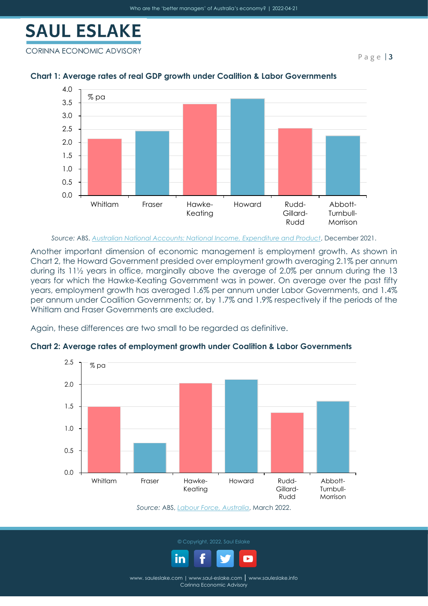CORINNA ECONOMIC ADVISORY



### **Chart 1: Average rates of real GDP growth under Coalition & Labor Governments**

*Source:* ABS, *[Australian National Accounts: National Income, Expenditure and Product](https://www.abs.gov.au/statistics/economy/national-accounts/australian-national-accounts-national-income-expenditure-and-product/latest-release)*, December 2021.

Another important dimension of economic management is employment growth. As shown in Chart 2, the Howard Government presided over employment growth averaging 2.1% per annum during its 11½ years in office, marginally above the average of 2.0% per annum during the 13 years for which the Hawke-Keating Government was in power. On average over the past fifty years, employment growth has averaged 1.6% per annum under Labor Governments, and 1.4% per annum under Coalition Governments; or, by 1.7% and 1.9% respectively if the periods of the Whitlam and Fraser Governments are excluded.

Again, these differences are two small to be regarded as definitive.



**Chart 2: Average rates of employment growth under Coalition & Labor Governments**

*Source:* ABS, *[Labour Force, Australia](https://www.abs.gov.au/statistics/labour/employment-and-unemployment/labour-force-australia/latest-release)*, March 2022.



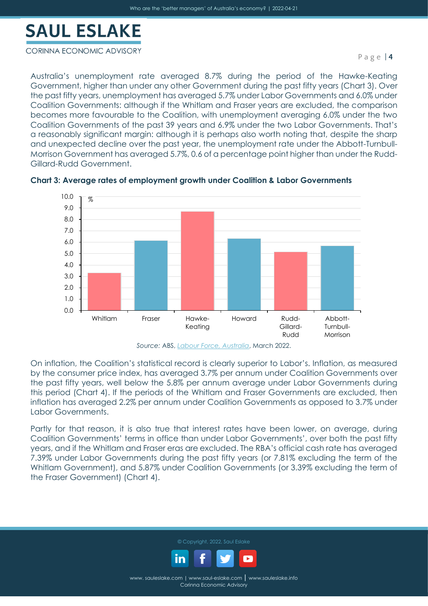#### CORINNA ECONOMIC ADVISORY

Australia's unemployment rate averaged 8.7% during the period of the Hawke-Keating Government, higher than under any other Government during the past fifty years (Chart 3). Over the past fifty years, unemployment has averaged 5.7% under Labor Governments and 6.0% under Coalition Governments: although if the Whitlam and Fraser years are excluded, the comparison becomes more favourable to the Coalition, with unemployment averaging 6.0% under the two Coalition Governments of the past 39 years and 6.9% under the two Labor Governments. That's a reasonably significant margin: although it is perhaps also worth noting that, despite the sharp and unexpected decline over the past year, the unemployment rate under the Abbott-Turnbull-Morrison Government has averaged 5.7%, 0.6 of a percentage point higher than under the Rudd-Gillard-Rudd Government.



**Chart 3: Average rates of employment growth under Coalition & Labor Governments**



On inflation, the Coalition's statistical record is clearly superior to Labor's. Inflation, as measured by the consumer price index, has averaged 3.7% per annum under Coalition Governments over the past fifty years, well below the 5.8% per annum average under Labor Governments during this period (Chart 4). If the periods of the Whitlam and Fraser Governments are excluded, then inflation has averaged 2.2% per annum under Coalition Governments as opposed to 3.7% under Labor Governments.

Partly for that reason, it is also true that interest rates have been lower, on average, during Coalition Governments' terms in office than under Labor Governments', over both the past fifty years, and if the Whitlam and Fraser eras are excluded. The RBA's official cash rate has averaged 7.39% under Labor Governments during the past fifty years (or 7.81% excluding the term of the Whitlam Government), and 5.87% under Coalition Governments (or 3.39% excluding the term of the Fraser Government) (Chart 4).



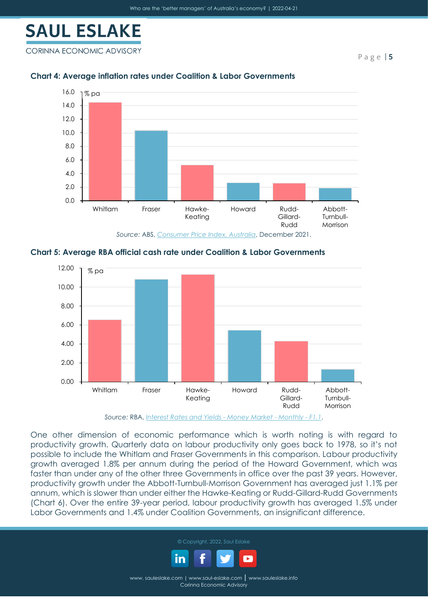CORINNA ECONOMIC ADVISORY

P a g e | **5**



### **Chart 4: Average inflation rates under Coalition & Labor Governments**





*Source:* RBA, *[Interest Rates and Yields -](https://www.rba.gov.au/statistics/tables/xls/f01hist.xls?v=2022-04-18-12-29-42) Money Market - Monthly - F1.1*.

One other dimension of economic performance which is worth noting is with regard to productivity growth. Quarterly data on labour productivity only goes back to 1978, so it's not possible to include the Whitlam and Fraser Governments in this comparison. Labour productivity growth averaged 1.8% per annum during the period of the Howard Government, which was faster than under any of the other three Governments in office over the past 39 years. However, productivity growth under the Abbott-Turnbull-Morrison Government has averaged just 1.1% per annum, which is slower than under either the Hawke-Keating or Rudd-Gillard-Rudd Governments (Chart 6). Over the entire 39-year period, labour productivity growth has averaged 1.5% under Labor Governments and 1.4% under Coalition Governments, an insignificant difference.



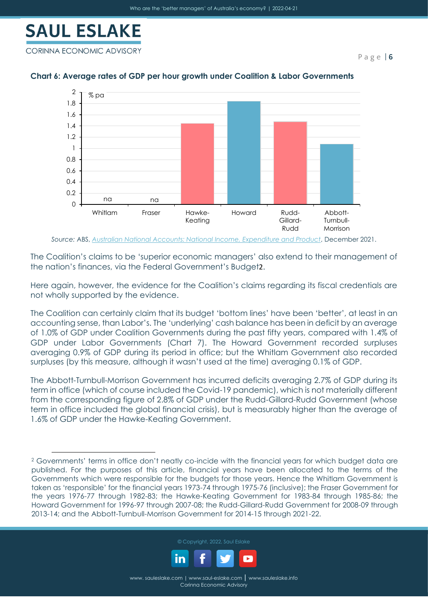

CORINNA ECONOMIC ADVISORY

P a g e | **6**



### **Chart 6: Average rates of GDP per hour growth under Coalition & Labor Governments**

*Source:* ABS, *[Australian National Accounts: National Income, Expenditure and Product](https://www.abs.gov.au/statistics/economy/national-accounts/australian-national-accounts-national-income-expenditure-and-product/latest-release)*, December 2021.

The Coalition's claims to be 'superior economic managers' also extend to their management of the nation's finances, via the Federal Government's Budget2.

Here again, however, the evidence for the Coalition's claims regarding its fiscal credentials are not wholly supported by the evidence.

The Coalition can certainly claim that its budget 'bottom lines' have been 'better', at least in an accounting sense, than Labor's. The 'underlying' cash balance has been in deficit by an average of 1.0% of GDP under Coalition Governments during the past fifty years, compared with 1.4% of GDP under Labor Governments (Chart 7). The Howard Government recorded surpluses averaging 0.9% of GDP during its period in office; but the Whitlam Government also recorded surpluses (by this measure, although it wasn't used at the time) averaging 0.1% of GDP.

The Abbott-Turnbull-Morrison Government has incurred deficits averaging 2.7% of GDP during its term in office (which of course included the Covid-19 pandemic), which is not materially different from the corresponding figure of 2.8% of GDP under the Rudd-Gillard-Rudd Government (whose term in office included the global financial crisis), but is measurably higher than the average of 1.6% of GDP under the Hawke-Keating Government.

<sup>2</sup> Governments' terms in office don't neatly co-incide with the financial years for which budget data are published. For the purposes of this article, financial years have been allocated to the terms of the Governments which were responsible for the budgets for those years. Hence the Whitlam Government is taken as 'responsible' for the financial years 1973-74 through 1975-76 (inclusive); the Fraser Government for the years 1976-77 through 1982-83; the Hawke-Keating Government for 1983-84 through 1985-86; the Howard Government for 1996-97 through 2007-08; the Rudd-Gillard-Rudd Government for 2008-09 through 2013-14; and the Abbott-Turnbull-Morrison Government for 2014-15 through 2021-22.



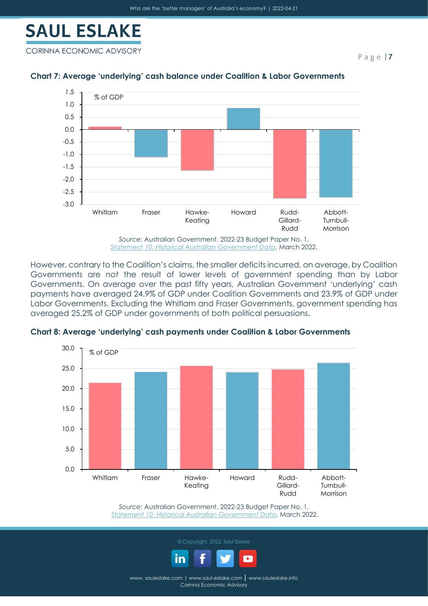

CORINNA ECONOMIC ADVISORY



#### **Chart 7: Average 'underlying' cash balance under Coalition & Labor Governments**

However, contrary to the Coalition's claims, the smaller deficits incurred, on average, by Coalition Governments are *not* the result of lower levels of government spending than by Labor Governments. On average over the past fifty years, Australian Government 'underlying' cash payments have averaged 24.9% of GDP under Coalition Governments and 23.9% of GDP under Labor Governments. Excluding the Whitlam and Fraser Governments, government spending has averaged 25.2% of GDP under governments of both political persuasions.



**Chart 8: Average 'underlying' cash payments under Coalition & Labor Governments**

*Source:* Australian Government, 2022-23 Budget Paper No. 1, *[Statement 10: Historical Australian Government Data](https://budget.gov.au/2022-23/content/bp1/download/bp1_bs10.docx)*, March 2022.



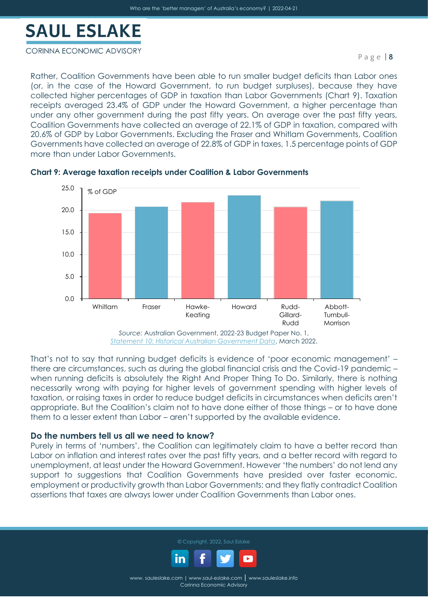#### CORINNA ECONOMIC ADVISORY

Rather, Coalition Governments have been able to run smaller budget deficits than Labor ones (or, in the case of the Howard Government, to run budget surpluses), because they have collected higher percentages of GDP in taxation than Labor Governments (Chart 9). Taxation receipts averaged 23.4% of GDP under the Howard Government, a higher percentage than under any other government during the past fifty years. On average over the past fifty years, Coalition Governments have collected an average of 22.1% of GDP in taxation, compared with 20.6% of GDP by Labor Governments. Excluding the Fraser and Whitlam Governments, Coalition Governments have collected an average of 22.8% of GDP in taxes, 1.5 percentage points of GDP more than under Labor Governments.



#### **Chart 9: Average taxation receipts under Coalition & Labor Governments**

*Source:* Australian Government, 2022-23 Budget Paper No. 1, *[Statement 10: Historical Australian Government Data](https://budget.gov.au/2022-23/content/bp1/download/bp1_bs10.docx)*, March 2022.

That's not to say that running budget deficits is evidence of 'poor economic management' – there are circumstances, such as during the global financial crisis and the Covid-19 pandemic – when running deficits is absolutely the Right And Proper Thing To Do. Similarly, there is nothing necessarily wrong with paying for higher levels of government spending with higher levels of taxation, or raising taxes in order to reduce budget deficits in circumstances when deficits aren't appropriate. But the Coalition's claim not to have done either of those things – or to have done them to a lesser extent than Labor – aren't supported by the available evidence.

### **Do the numbers tell us all we need to know?**

Purely in terms of 'numbers', the Coalition can legitimately claim to have a better record than Labor on inflation and interest rates over the past fifty years, and a better record with regard to unemployment, at least under the Howard Government. However 'the numbers' do not lend any support to suggestions that Coalition Governments have presided over faster economic, employment or productivity growth than Labor Governments: and they flatly contradict Coalition assertions that taxes are always lower under Coalition Governments than Labor ones.



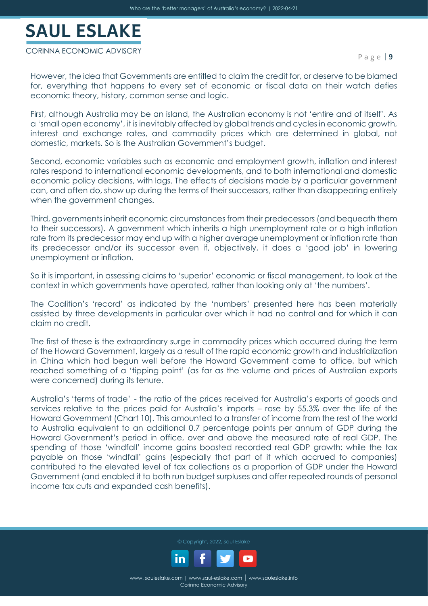#### CORINNA ECONOMIC ADVISORY

However, the idea that Governments are entitled to claim the credit for, or deserve to be blamed for, everything that happens to every set of economic or fiscal data on their watch defies economic theory, history, common sense and logic.

First, although Australia may be an island, the Australian economy is not 'entire and of itself'. As a 'small open economy', it is inevitably affected by global trends and cycles in economic growth, interest and exchange rates, and commodity prices which are determined in global, not domestic, markets. So is the Australian Government's budget.

Second, economic variables such as economic and employment growth, inflation and interest rates respond to international economic developments, and to both international and domestic economic policy decisions, with lags. The effects of decisions made by a particular government can, and often do, show up during the terms of their successors, rather than disappearing entirely when the government changes.

Third, governments inherit economic circumstances from their predecessors (and bequeath them to their successors). A government which inherits a high unemployment rate or a high inflation rate from its predecessor may end up with a higher average unemployment or inflation rate than its predecessor and/or its successor even if, objectively, it does a 'good job' in lowering unemployment or inflation.

So it is important, in assessing claims to 'superior' economic or fiscal management, to look at the context in which governments have operated, rather than looking only at 'the numbers'.

The Coalition's 'record' as indicated by the 'numbers' presented here has been materially assisted by three developments in particular over which it had no control and for which it can claim no credit.

The first of these is the extraordinary surge in commodity prices which occurred during the term of the Howard Government, largely as a result of the rapid economic growth and industrialization in China which had begun well before the Howard Government came to office, but which reached something of a 'tipping point' (as far as the volume and prices of Australian exports were concerned) during its tenure.

Australia's 'terms of trade' - the ratio of the prices received for Australia's exports of goods and services relative to the prices paid for Australia's imports – rose by 55.3% over the life of the Howard Government (Chart 10). This amounted to a transfer of income from the rest of the world to Australia equivalent to an additional 0.7 percentage points per annum of GDP during the Howard Government's period in office, over and above the measured rate of real GDP. The spending of those 'windfall' income gains boosted recorded real GDP growth: while the tax payable on those 'windfall' gains (especially that part of it which accrued to companies) contributed to the elevated level of tax collections as a proportion of GDP under the Howard Government (and enabled it to both run budget surpluses and offer repeated rounds of personal income tax cuts and expanded cash benefits).

© Copyright, 2022, Saul Eslake

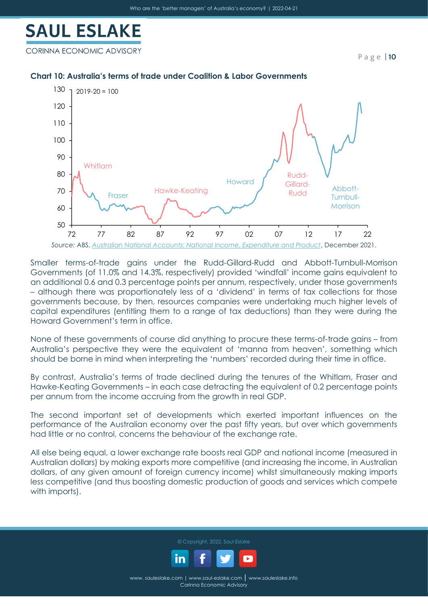CORINNA ECONOMIC ADVISORY

P a g e | **10**

#### **Chart 10: Australia's terms of trade under Coalition & Labor Governments**



Smaller terms-of-trade gains under the Rudd-Gillard-Rudd and Abbott-Turnbull-Morrison Governments (of 11.0% and 14.3%, respectively) provided 'windfall' income gains equivalent to an additional 0.6 and 0.3 percentage points per annum, respectively, under those governments – although there was proportionately less of a 'dividend' in terms of tax collections for those governments because, by then, resources companies were undertaking much higher levels of capital expenditures (entitling them to a range of tax deductions) than they were during the Howard Government's term in office.

None of these governments of course did anything to procure these terms-of-trade gains – from Australia's perspective they were the equivalent of 'manna from heaven', something which should be borne in mind when interpreting the 'numbers' recorded during their time in office.

By contrast, Australia's terms of trade declined during the tenures of the Whitlam, Fraser and Hawke-Keating Governments – in each case detracting the equivalent of 0.2 percentage points per annum from the income accruing from the growth in real GDP.

The second important set of developments which exerted important influences on the performance of the Australian economy over the past fifty years, but over which governments had little or no control, concerns the behaviour of the exchange rate.

All else being equal, a lower exchange rate boosts real GDP and national income (measured in Australian dollars) by making exports more competitive (and increasing the income, in Australian dollars, of any given amount of foreign currency income) whilst simultaneously making imports less competitive (and thus boosting domestic production of goods and services which compete with imports).

© Copyright, 2022, Saul Eslake

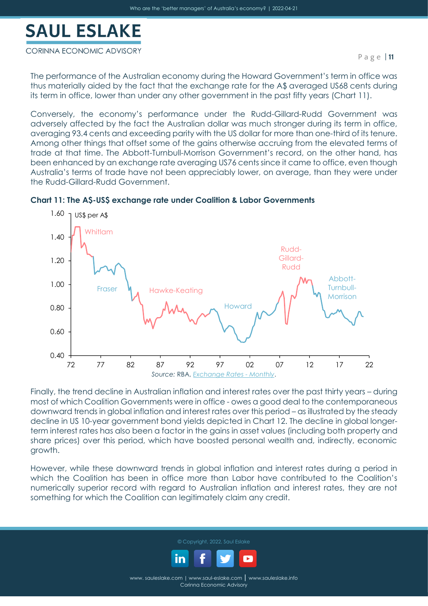#### CORINNA ECONOMIC ADVISORY

The performance of the Australian economy during the Howard Government's term in office was thus materially aided by the fact that the exchange rate for the A\$ averaged US68 cents during its term in office, lower than under any other government in the past fifty years (Chart 11).

Conversely, the economy's performance under the Rudd-Gillard-Rudd Government was adversely affected by the fact the Australian dollar was much stronger during its term in office, averaging 93.4 cents and exceeding parity with the US dollar for more than one-third of its tenure. Among other things that offset some of the gains otherwise accruing from the elevated terms of trade at that time. The Abbott-Turnbull-Morrison Government's record, on the other hand, has been enhanced by an exchange rate averaging US76 cents since it came to office, even though Australia's terms of trade have not been appreciably lower, on average, than they were under the Rudd-Gillard-Rudd Government.



#### **Chart 11: The A\$-US\$ exchange rate under Coalition & Labor Governments**

Finally, the trend decline in Australian inflation and interest rates over the past thirty years – during most of which Coalition Governments were in office - owes a good deal to the contemporaneous downward trends in global inflation and interest rates over this period – as illustrated by the steady decline in US 10-year government bond yields depicted in Chart 12. The decline in global longerterm interest rates has also been a factor in the gains in asset values (including both property and share prices) over this period, which have boosted personal wealth and, indirectly, economic growth.

However, while these downward trends in global inflation and interest rates during a period in which the Coalition has been in office more than Labor have contributed to the Coalition's numerically superior record with regard to Australian inflation and interest rates, they are not something for which the Coalition can legitimately claim any credit.

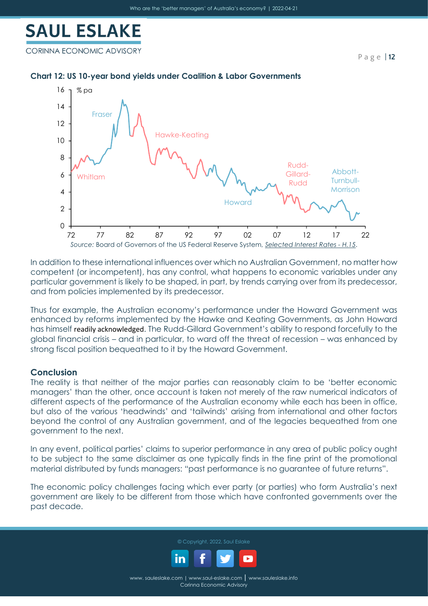CORINNA ECONOMIC ADVISORY

P a g e | **12**

### **Chart 12: US 10-year bond yields under Coalition & Labor Governments**



In addition to these international influences over which no Australian Government, no matter how competent (or incompetent), has any control, what happens to economic variables under any particular government is likely to be shaped, in part, by trends carrying over from its predecessor, and from policies implemented by its predecessor.

Thus for example, the Australian economy's performance under the Howard Government was enhanced by reforms implemented by the Hawke and Keating Governments, as John Howard has himself [readily acknowledged](https://www.afr.com/policy/john-howard-why-bipartisanship-is-crucial-to-economic-reform-20150814-giz9tm). The Rudd-Gillard Government's ability to respond forcefully to the global financial crisis – and in particular, to ward off the threat of recession – was enhanced by strong fiscal position bequeathed to it by the Howard Government.

### **Conclusion**

The reality is that neither of the major parties can reasonably claim to be 'better economic managers' than the other, once account is taken not merely of the raw numerical indicators of different aspects of the performance of the Australian economy while each has been in office, but also of the various 'headwinds' and 'tailwinds' arising from international and other factors beyond the control of any Australian government, and of the legacies bequeathed from one government to the next.

In any event, political parties' claims to superior performance in any area of public policy ought to be subject to the same disclaimer as one typically finds in the fine print of the promotional material distributed by funds managers: "past performance is no guarantee of future returns".

The economic policy challenges facing which ever party (or parties) who form Australia's next government are likely to be different from those which have confronted governments over the past decade.



© Copyright, 2022, Saul Eslake